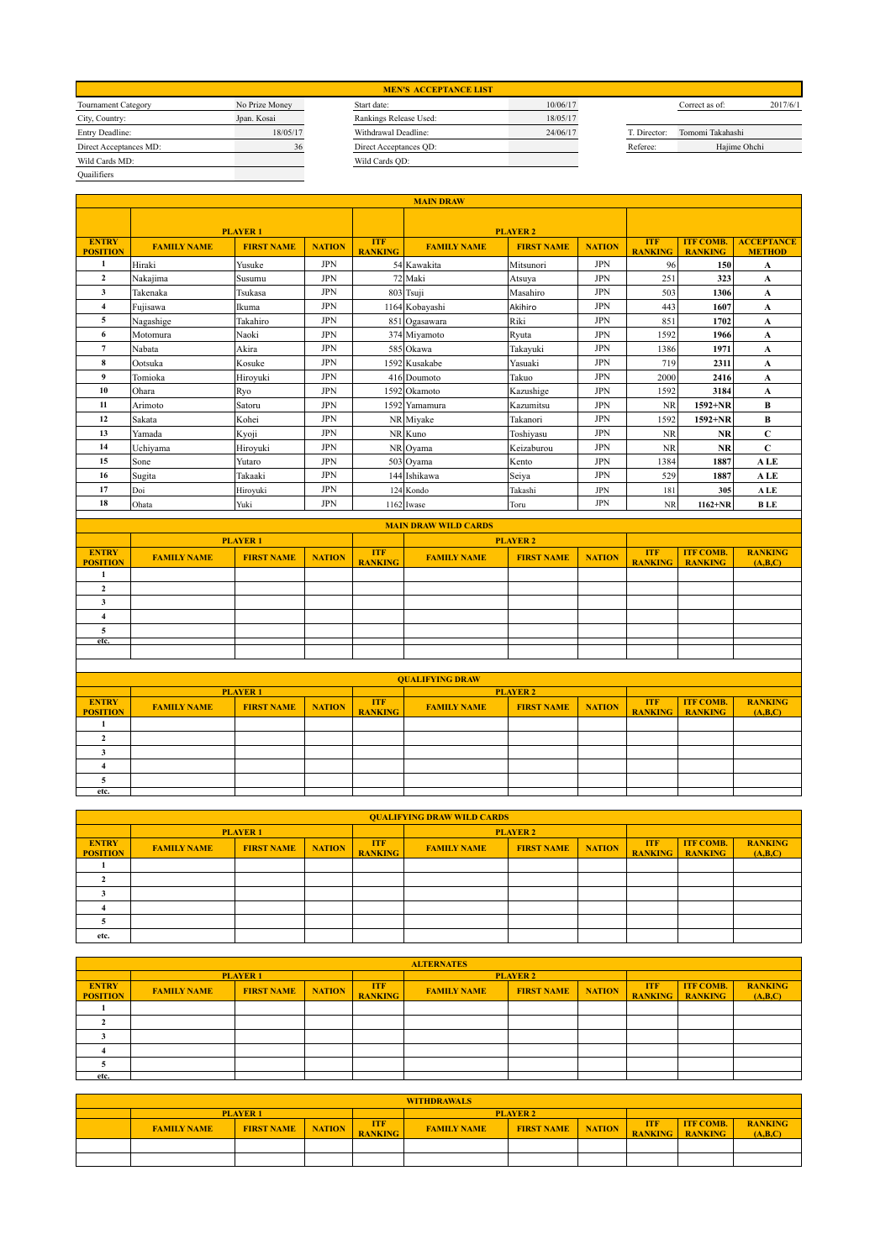| <b>Tournament Category</b> | No Prize Money | Start da       |
|----------------------------|----------------|----------------|
| City, Country:             | Jpan. Kosai    | <b>Rankins</b> |
| Entry Deadline:            | 18/05/17       | Withdra        |
| Direct Acceptances MD:     | 36             | Direct /       |
| Wild Cards MD:             |                | Wild Ca        |
| Ouailifiers                |                |                |

|                | <b>MEN'S ACCEPTANCE LIST</b> |          |              |                  |          |
|----------------|------------------------------|----------|--------------|------------------|----------|
| No Prize Money | Start date:                  | 10/06/17 |              | Correct as of:   | 2017/6/1 |
| Jpan. Kosai    | Rankings Release Used:       | 18/05/17 |              |                  |          |
| 18/05/17       | Withdrawal Deadline:         | 24/06/17 | T. Director: | Tomomi Takahashi |          |
| 36             | Direct Acceptances QD:       |          | Referee:     | Hajime Ohchi     |          |
|                | Wild Cards QD:               |          |              |                  |          |
|                |                              |          |              |                  |          |

|              | Correct as of:   | 2017/6/1 |
|--------------|------------------|----------|
|              |                  |          |
| T. Director: | Tomomi Takahashi |          |
| Referee:     | Hajime Ohchi     |          |
|              |                  |          |

|                                 | <b>MAIN DRAW</b>   |                   |               |                              |                       |                   |               |                              |                                    |                                    |  |
|---------------------------------|--------------------|-------------------|---------------|------------------------------|-----------------------|-------------------|---------------|------------------------------|------------------------------------|------------------------------------|--|
|                                 | <b>PLAYER1</b>     |                   |               |                              |                       | <b>PLAYER 2</b>   |               |                              |                                    |                                    |  |
| <b>ENTRY</b><br><b>POSITION</b> | <b>FAMILY NAME</b> | <b>FIRST NAME</b> | <b>NATION</b> | <b>TTF</b><br><b>RANKING</b> | <b>FAMILY NAME</b>    | <b>FIRST NAME</b> | <b>NATION</b> | <b>ITF</b><br><b>RANKING</b> | <b>ITF COMB.</b><br><b>RANKING</b> | <b>ACCEPTANCE</b><br><b>METHOD</b> |  |
| $\mathbf{1}$                    | Hiraki             | Yusuke            | <b>JPN</b>    |                              | 54 Kawakita           | Mitsunori         | <b>JPN</b>    | 96                           | 150                                | $\mathbf A$                        |  |
| $\overline{2}$                  | Nakajima           | Susumu            | <b>JPN</b>    |                              | 72 Maki               | Atsuya            | <b>JPN</b>    | 251                          | 323                                | A                                  |  |
| 3                               | Takenaka           | Tsukasa           | <b>JPN</b>    |                              | 803 Tsuji             | Masahiro          | <b>JPN</b>    | 503                          | 1306                               | A                                  |  |
| $\overline{\mathbf{4}}$         | Fujisawa           | Ikuma             | <b>JPN</b>    |                              | 1164 Kobayashi        | Akihiro           | <b>JPN</b>    | 443                          | 1607                               | A                                  |  |
| 5.                              | Nagashige          | Takahiro          | <b>JPN</b>    |                              | 851 Ogasawara         | Riki              | <b>JPN</b>    | 851                          | 1702                               | A                                  |  |
| 6                               | Motomura           | Naoki             | <b>JPN</b>    |                              | 374 Miyamoto          | Rvuta             | <b>JPN</b>    | 1592                         | 1966                               | A                                  |  |
| 7                               | Nabata             | Akira             | <b>JPN</b>    |                              | 585 Okawa             | Takayuki          | <b>JPN</b>    | 1386                         | 1971                               | A                                  |  |
| 8                               | Ootsuka            | Kosuke            | <b>JPN</b>    |                              | 1592 Kusakabe         | Yasuaki           | <b>JPN</b>    | 719                          | 2311                               | A                                  |  |
| 9                               | Tomioka            | Hirovuki          | <b>JPN</b>    |                              | 416 Doumoto           | Takuo             | <b>JPN</b>    | 2000                         | 2416                               | A                                  |  |
| 10                              | Ohara              | Ryo               | <b>JPN</b>    |                              | 1592 Okamoto          | Kazushige         | <b>JPN</b>    | 1592                         | 3184                               | A                                  |  |
| 11                              | Arimoto            | Satoru            | <b>JPN</b>    |                              | 1592 Yamamura         | Kazumitsu         | <b>JPN</b>    | <b>NR</b>                    | $1592 + NR$                        | в                                  |  |
| 12                              | Sakata             | Kohei             | <b>JPN</b>    |                              | NR Miyake             | Takanori          | <b>JPN</b>    | 1592                         | $1592 + NR$                        | в                                  |  |
| 13                              | Yamada             | Kyoji             | <b>JPN</b>    |                              | NR Kuno               | Toshiyasu         | <b>JPN</b>    | <b>NR</b>                    | <b>NR</b>                          | C                                  |  |
| 14                              | Uchivama           | Hiroyuki          | <b>JPN</b>    |                              | NR <sub>I</sub> Ovama | Keizaburou        | <b>JPN</b>    | <b>NR</b>                    | <b>NR</b>                          | C                                  |  |
| 15                              | Sone               | Yutaro            | <b>JPN</b>    |                              | 503 Ovama             | Kento             | <b>JPN</b>    | 1384                         | 1887                               | <b>ALE</b>                         |  |
| 16                              | Sugita             | Takaaki           | <b>JPN</b>    |                              | 144 Ishikawa          | Seiya             | <b>JPN</b>    | 529                          | 1887                               | A LE                               |  |
| 17                              | Doi                | Hiroyuki          | <b>JPN</b>    |                              | 124 Kondo             | Takashi           | <b>JPN</b>    | 181                          | 305                                | <b>ALE</b>                         |  |
| 18                              | Ohata              | Yuki              | <b>JPN</b>    |                              | 1162 Iwase            | Toru              | <b>JPN</b>    | <b>NR</b>                    | $1162 + NR$                        | <b>BLE</b>                         |  |

|                                 | <b>MAIN DRAW WILD CARDS</b> |                   |               |                              |                    |                   |               |                              |                                    |                           |  |
|---------------------------------|-----------------------------|-------------------|---------------|------------------------------|--------------------|-------------------|---------------|------------------------------|------------------------------------|---------------------------|--|
|                                 |                             | <b>PLAYER 1</b>   |               |                              |                    | <b>PLAYER 2</b>   |               |                              |                                    |                           |  |
| <b>ENTRY</b><br><b>POSITION</b> | <b>FAMILY NAME</b>          | <b>FIRST NAME</b> | <b>NATION</b> | <b>ITF</b><br><b>RANKING</b> | <b>FAMILY NAME</b> | <b>FIRST NAME</b> | <b>NATION</b> | <b>ITF</b><br><b>RANKING</b> | <b>ITF COMB.</b><br><b>RANKING</b> | <b>RANKING</b><br>(A,B,C) |  |
|                                 |                             |                   |               |                              |                    |                   |               |                              |                                    |                           |  |
|                                 |                             |                   |               |                              |                    |                   |               |                              |                                    |                           |  |
|                                 |                             |                   |               |                              |                    |                   |               |                              |                                    |                           |  |
|                                 |                             |                   |               |                              |                    |                   |               |                              |                                    |                           |  |
|                                 |                             |                   |               |                              |                    |                   |               |                              |                                    |                           |  |
| etc.                            |                             |                   |               |                              |                    |                   |               |                              |                                    |                           |  |
|                                 |                             |                   |               |                              |                    |                   |               |                              |                                    |                           |  |
|                                 |                             |                   |               |                              |                    |                   |               |                              |                                    |                           |  |

|                                 | <b>OUALIFYING DRAW</b> |                   |               |                              |                    |                   |               |                              |                                    |                           |  |  |  |
|---------------------------------|------------------------|-------------------|---------------|------------------------------|--------------------|-------------------|---------------|------------------------------|------------------------------------|---------------------------|--|--|--|
|                                 |                        | <b>PLAYER1</b>    |               |                              |                    | <b>PLAYER 2</b>   |               |                              |                                    |                           |  |  |  |
| <b>ENTRY</b><br><b>POSITION</b> | <b>FAMILY NAME</b>     | <b>FIRST NAME</b> | <b>NATION</b> | <b>ITF</b><br><b>RANKING</b> | <b>FAMILY NAME</b> | <b>FIRST NAME</b> | <b>NATION</b> | <b>ITF</b><br><b>RANKING</b> | <b>ITF COMB.</b><br><b>RANKING</b> | <b>RANKING</b><br>(A,B,C) |  |  |  |
|                                 |                        |                   |               |                              |                    |                   |               |                              |                                    |                           |  |  |  |
|                                 |                        |                   |               |                              |                    |                   |               |                              |                                    |                           |  |  |  |
|                                 |                        |                   |               |                              |                    |                   |               |                              |                                    |                           |  |  |  |
|                                 |                        |                   |               |                              |                    |                   |               |                              |                                    |                           |  |  |  |
|                                 |                        |                   |               |                              |                    |                   |               |                              |                                    |                           |  |  |  |
| etc.                            |                        |                   |               |                              |                    |                   |               |                              |                                    |                           |  |  |  |

|                                 | <b>QUALIFYING DRAW WILD CARDS</b> |                   |               |                              |                    |                   |               |                              |                                    |                           |  |  |  |  |
|---------------------------------|-----------------------------------|-------------------|---------------|------------------------------|--------------------|-------------------|---------------|------------------------------|------------------------------------|---------------------------|--|--|--|--|
|                                 | <b>PLAYER1</b>                    |                   |               |                              |                    | <b>PLAYER 2</b>   |               |                              |                                    |                           |  |  |  |  |
| <b>ENTRY</b><br><b>POSITION</b> | <b>FAMILY NAME</b>                | <b>FIRST NAME</b> | <b>NATION</b> | <b>ITF</b><br><b>RANKING</b> | <b>FAMILY NAME</b> | <b>FIRST NAME</b> | <b>NATION</b> | <b>ITF</b><br><b>RANKING</b> | <b>ITF COMB.</b><br><b>RANKING</b> | <b>RANKING</b><br>(A,B,C) |  |  |  |  |
|                                 |                                   |                   |               |                              |                    |                   |               |                              |                                    |                           |  |  |  |  |
|                                 |                                   |                   |               |                              |                    |                   |               |                              |                                    |                           |  |  |  |  |
|                                 |                                   |                   |               |                              |                    |                   |               |                              |                                    |                           |  |  |  |  |
|                                 |                                   |                   |               |                              |                    |                   |               |                              |                                    |                           |  |  |  |  |
|                                 |                                   |                   |               |                              |                    |                   |               |                              |                                    |                           |  |  |  |  |
| etc.                            |                                   |                   |               |                              |                    |                   |               |                              |                                    |                           |  |  |  |  |

|                                 | <b>ALTERNATES</b>  |                   |               |                              |                    |                   |               |                              |                                    |                           |  |  |  |
|---------------------------------|--------------------|-------------------|---------------|------------------------------|--------------------|-------------------|---------------|------------------------------|------------------------------------|---------------------------|--|--|--|
|                                 |                    | <b>PLAYER1</b>    |               |                              |                    | <b>PLAYER 2</b>   |               |                              |                                    |                           |  |  |  |
| <b>ENTRY</b><br><b>POSITION</b> | <b>FAMILY NAME</b> | <b>FIRST NAME</b> | <b>NATION</b> | <b>ITF</b><br><b>RANKING</b> | <b>FAMILY NAME</b> | <b>FIRST NAME</b> | <b>NATION</b> | <b>ITF</b><br><b>RANKING</b> | <b>ITF COMB.</b><br><b>RANKING</b> | <b>RANKING</b><br>(A,B,C) |  |  |  |
|                                 |                    |                   |               |                              |                    |                   |               |                              |                                    |                           |  |  |  |
|                                 |                    |                   |               |                              |                    |                   |               |                              |                                    |                           |  |  |  |
|                                 |                    |                   |               |                              |                    |                   |               |                              |                                    |                           |  |  |  |
|                                 |                    |                   |               |                              |                    |                   |               |                              |                                    |                           |  |  |  |
|                                 |                    |                   |               |                              |                    |                   |               |                              |                                    |                           |  |  |  |
| etc.                            |                    |                   |               |                              |                    |                   |               |                              |                                    |                           |  |  |  |

|                | <b>WITHDRAWALS</b> |                    |                   |               |                              |                                    |                           |  |  |  |  |  |  |
|----------------|--------------------|--------------------|-------------------|---------------|------------------------------|------------------------------------|---------------------------|--|--|--|--|--|--|
| <b>PLAYER1</b> |                    |                    |                   |               | <b>PLAYER 2</b>              |                                    |                           |  |  |  |  |  |  |
|                | <b>FAMILY NAME</b> | <b>FAMILY NAME</b> | <b>FIRST NAME</b> | <b>NATION</b> | <b>ITF</b><br><b>RANKING</b> | <b>ITF COMB.</b><br><b>RANKING</b> | <b>RANKING</b><br>(A,B,C) |  |  |  |  |  |  |
|                |                    |                    |                   |               |                              |                                    |                           |  |  |  |  |  |  |
|                |                    |                    |                   |               |                              |                                    |                           |  |  |  |  |  |  |